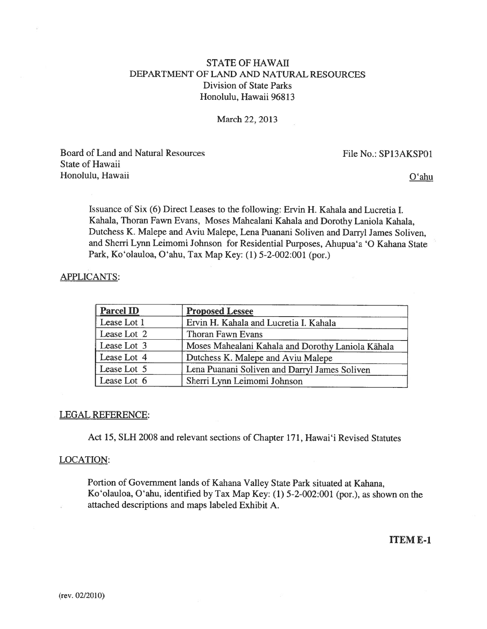# STATE OF HAWAII DEPARTMENT OF LAND AND NATURAL RESOURCES Division of State Parks Honolulu, Hawaii 96813

#### March 22, 2013

Board of Land and Natural Resources File No.: SP13AKSP01 State of Hawaii Honolulu, Hawaii Qarantar a Distribution of the Capital Company of the Capital Company of the Capital Company of the Capital Company of the Capital Company of the Capital Company of the Capital Company of the Capital Compa

Issuance of Six (6) Direct Leases to the following: Ervin H. Kahala and Lucretia I. Kahala, Thoran Fawn Evans, Moses Mahealani Kahala and Dorothy Laniola Kahala, Dutchess K. Malepe and Aviu Malepe, Lena Puanani Soliven and Darryl James Soliven, and Sherri Lynn Leimomi Johnson for Residential Purposes, Ahupua'a '0 Kahana State Park, Ko'olauloa, O'ahu, Tax Map Key: (1) 5-2-002:001 (por.)

## APPLICANTS:

| <b>Parcel ID</b> | <b>Proposed Lessee</b>                            |  |
|------------------|---------------------------------------------------|--|
| Lease Lot 1      | Ervin H. Kahala and Lucretia I. Kahala            |  |
| Lease Lot 2      | Thoran Fawn Evans                                 |  |
| Lease Lot 3      | Moses Mahealani Kahala and Dorothy Laniola Kāhala |  |
| Lease Lot 4      | Dutchess K. Malepe and Aviu Malepe                |  |
| Lease Lot 5      | Lena Puanani Soliven and Darryl James Soliven     |  |
| Lease Lot 6      | Sherri Lynn Leimomi Johnson                       |  |

## LEGAL REFERENCE:

Act 15, SLH 2008 and relevant sections of Chapter 171, Hawai'i Revised Statutes

#### LOCATION:

Portion of Government lands of Kahana Valley State Park situated at Kahana, Ko'olauloa, O'ahu, identified by Tax Map Key: (1) 5-2-002:001 (por.), as shown on the attached descriptions and maps labeled Exhibit A.

ITEM E-1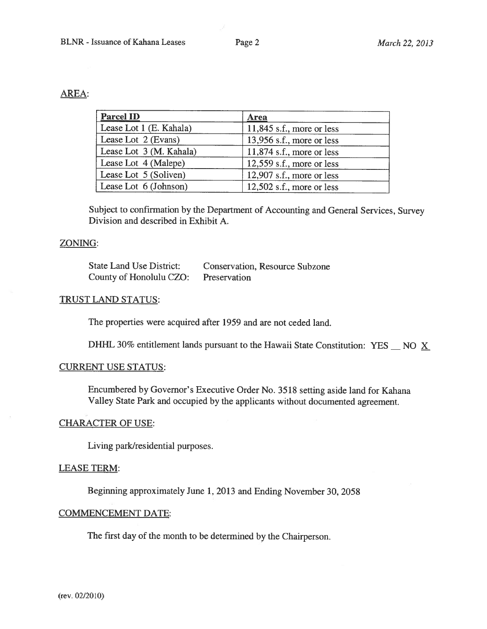# AREA:

| <b>Parcel ID</b>        | Area                        |
|-------------------------|-----------------------------|
| Lease Lot 1 (E. Kahala) | $11,845$ s.f., more or less |
| Lease Lot 2 (Evans)     | 13,956 s.f., more or less   |
| Lease Lot 3 (M. Kahala) | $11,874$ s.f., more or less |
| Lease Lot 4 (Malepe)    | $12,559$ s.f., more or less |
| Lease Lot 5 (Soliven)   | 12,907 s.f., more or less   |
| Lease Lot 6 (Johnson)   | 12,502 s.f., more or less   |

Subject to confirmation by the Department of Accounting and General Services, Survey Division and described in Exhibit A.

## ZONING:

| State Land Use District: | <b>Conservation, Resource Subzone</b> |
|--------------------------|---------------------------------------|
| County of Honolulu CZO:  | Preservation                          |

## TRUST LAND STATUS:

The properties were acquired after 1959 and are not ceded land.

DHHL 30% entitlement lands pursuant to the Hawaii State Constitution: YES  $\_\text{NO} \times$ 

# CURRENT USE STATUS:

Encumbered by Governor's Executive Order No. <sup>3518</sup> setting aside land for Kahana Valley State Park and occupied by the applicants without documented agreement.

# CHARACTER OF USE:

Living park/residential purposes.

## LEASE TERM:

Beginning approximately June 1, 2013 and Ending November 30, 2058

## COMMENCEMENT DATE:

The first day of the month to be determined by the Chairperson.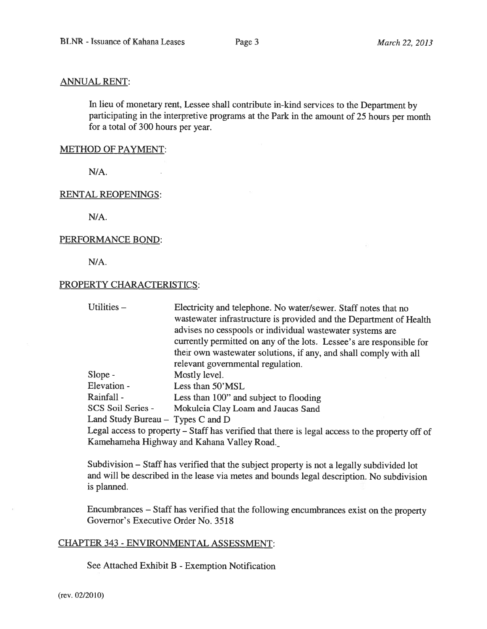#### ANNUAL RENT:

In lieu of monetary rent, Lessee shall contribute in-kind services to the Department by participating in the interpretive programs at the Park in the amount of <sup>25</sup> hours per month for <sup>a</sup> total of 300 hours per year.

#### METHOD OF PAYMENT:

N/A.

#### RENTAL REOPENINGS:

N/A.

#### PERFORMANCE BOND:

N/A.

#### PROPERTY CHARACTERISTICS:

Utilities – Electricity and telephone. No water/sewer. Staff notes that no wastewater infrastructure is provided and the Department of Health advises no cesspools or individual wastewater systems are currently permitted on any of the lots. Lessee's are responsible for their own wastewater solutions, if any, and shall comply with all relevant governmental regulation.

Slope - Mostly level.

Elevation - Less than 50'MSL

Rainfall - Less than 100" and subject to flooding

SCS Soil Series - Mokuleia Clay Loam and Jaucas Sand

Land Study Bureau — Types C and D

Legal access to property — Staff has verified that there is legal access to the property off of Kamehameha Highway and Kahana Valley Road.

Subdivision — Staff has verified that the subject property is not <sup>a</sup> legally subdivided lot and will be described in the lease via metes and bounds legal description. No subdivision is planned.

Encumbrances — Staff has verified that the following encumbrances exist on the property Governor's Executive Order No. 3518

## CHAPTER 343 - ENVIRONMENTAL ASSESSMENT:

See Attached Exhibit B - Exemption Notification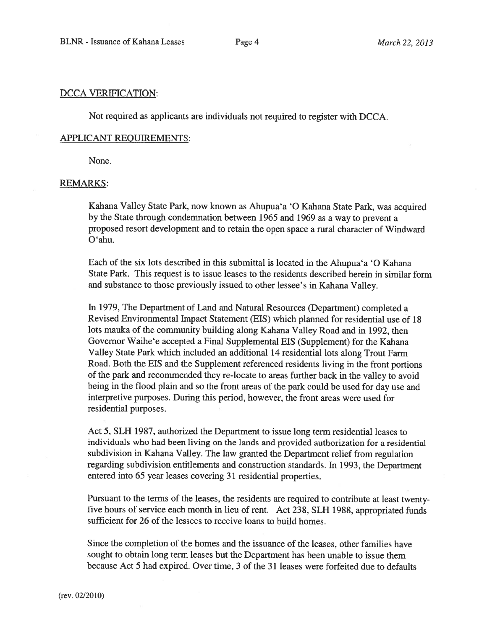#### DCCA VERIFICATION:

Not required as applicants are individuals not required to register with DCCA.

#### APPLICANT REQUIREMENTS:

None.

## REMARKS:

Kahana Valley State Park, now known as Ahupua'a '0 Kahana State Park, was acquired by the State through condemnation between 1965 and <sup>1969</sup> as <sup>a</sup> way to preven<sup>t</sup> <sup>a</sup> proposed resort development and to retain the open space <sup>a</sup> rural character of Windward O'ahu.

Each of the six lots described in this submittal is located in the Ahupua'a '0 Kahana State Park. This reques<sup>t</sup> is to issue leases to the residents described herein in similar form and substance to those previously issued to other lessee's in Kahana Valley.

In 1979, The Department of Land and Natural Resources (Department) completed <sup>a</sup> Revised Environmental Impact Statement (EIS) which <sup>p</sup>lanned for residential use of <sup>18</sup> lots mauka of the community building along Kahana Valley Road and in 1992, then Governor Waihe'e accepted <sup>a</sup> Final Supplemental ElS (Supplement) for the Kahana Valley State Park which included an additional <sup>14</sup> residential lots along Trout Farm Road. Both the EIS and the Supplement referenced residents living in the front portions of the par<sup>k</sup> and recommended they re-locate to areas further back in the valley to avoid being in the flood <sup>p</sup>lain and so the front areas of the par<sup>k</sup> could be used for day use and interpretive purposes. During this period, however, the front areas were used for residential purposes.

Act 5, SLH 1987, authorized the Department to issue long term residential leases to individuals who had been living on the lands and provided authorization for <sup>a</sup> residential subdivision in Kahana Valley. The law granted the Department relief from regulation regarding subdivision entitlements and construction standards. Tn 1993, the Department entered into 65 year leases covering 31 residential properties.

Pursuant to the terms of the leases, the residents are required to contribute at least twenty five hours of service each month in lieu of rent. Act 238, SLH 1988, appropriated funds sufficient for 26 of the lessees to receive loans to build homes.

Since the completion of the homes and the issuance of the leases, other families have sought to obtain long term leases but the Department has been unable to issue them because Act 5 had expired. Over time, 3 of the 31 leases were forfeited due to defaults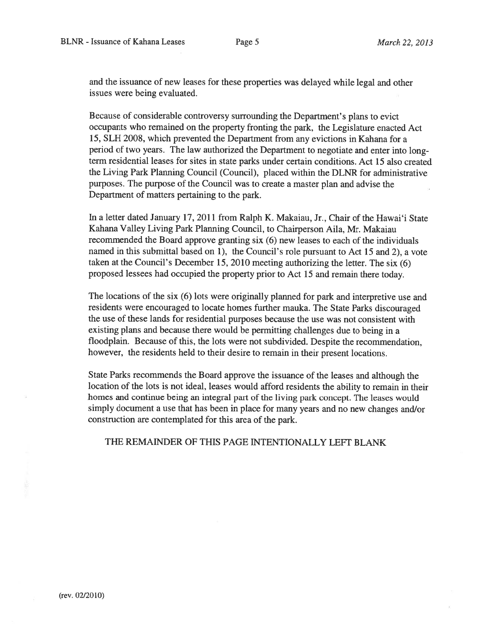and the issuance of new leases for these properties was delayed while legal and other issues were being evaluated.

Because of considerable controversy surrounding the Department's <sup>p</sup>lans to evict occupants who remained on the property fronting the park, the Legislature enacted Act 15, SLH 2008, which prevented the Department from any evictions in Kahana for <sup>a</sup> period of two years. The law authorized the Department to negotiate and enter into longterm residential leases for sites in state parks under certain conditions. Act 15 also created the Living Park Planning Council (Council), placed within the DLNR for administrative purposes. The purpose of the Council was to create <sup>a</sup> master plan and advise the Department of matters pertaining to the park.

In <sup>a</sup> letter dated January 17, 2011 from Ralph K. Makaiau, Jr., Chair of the Hawai'i State Kahana Valley Living Park Planning Council, to Chairperson Aila, Mr. Makaiau recommended the Board approve granting six (6) new leases to each of the individuals named in this submittal based on 1), the Council's role pursuan<sup>t</sup> to Act 15 and 2), <sup>a</sup> vote taken at the Council's December 15, 2010 meeting authorizing the letter. The six (6) propose<sup>d</sup> lessees had occupied the property prior to Act <sup>15</sup> and remain there today.

The locations of the six (6) lots were originally <sup>p</sup>lanned for par<sup>k</sup> and interpretive use and residents were encourage<sup>d</sup> to locate homes further mauka. The State Parks discouraged the use of these lands for residential purposes because the use was not consistent with existing <sup>p</sup>lans and because there would be permitting challenges due to being in <sup>a</sup> floodplain. Because of this, the lots were not subdivided. Despite the recommendation, however, the residents held to their desire to remain in their presen<sup>t</sup> locations.

State Parks recommends the Board approve the issuance of the leases and although the location of the lots is not ideal, leases would afford residents the ability to remain in their homes and continue being an integral par<sup>t</sup> of the living par<sup>k</sup> concept. The leases would simply document <sup>a</sup> use that has been in <sup>p</sup>lace for many years and no new changes and/or construction are contemplated for this area of the park.

THE REMAINDER OF THIS PAGE INTENTIONALLY LEFT BLANK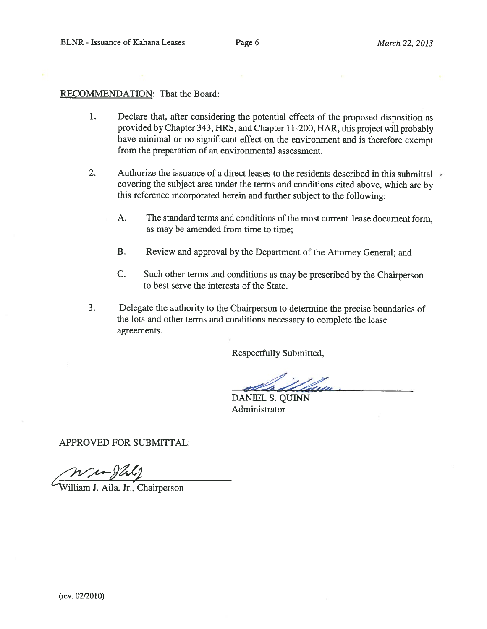# RECOMMENDATION: That the Board:

- 1. Declare that, after considering the potential effects of the propose<sup>d</sup> disposition as provided by Chapter 343, HRS, and Chapter 11-200, HAR, this project will probably have minimal or no significant effect on the environment and is therefore exemp<sup>t</sup> from the preparation of an environmental assessment.
- 2. Authorize the issuance of a direct leases to the residents described in this submittal covering the subject area under the terms and conditions cited above, which are by this reference incorporated herein and further subject to the following:
	- A. The standard terms and conditions of the most current lease document form, as may be amended from time to time;
	- B. Review and approva<sup>l</sup> by the Department of the Attorney General; and
	- C. Such other terms and conditions as may be prescribed by the Chairperson to best serve the interests of the State.
- 3. Delegate the authority to the Chairperson to determine the precise boundaries of the lots and other terms and conditions necessary to complete the lease agreements.

Respectfully Submitted,

DANIEL S. QUINN Administrator

APPROVED FOR SUBMITTAL:

William J. Aila, Jr., Chairperson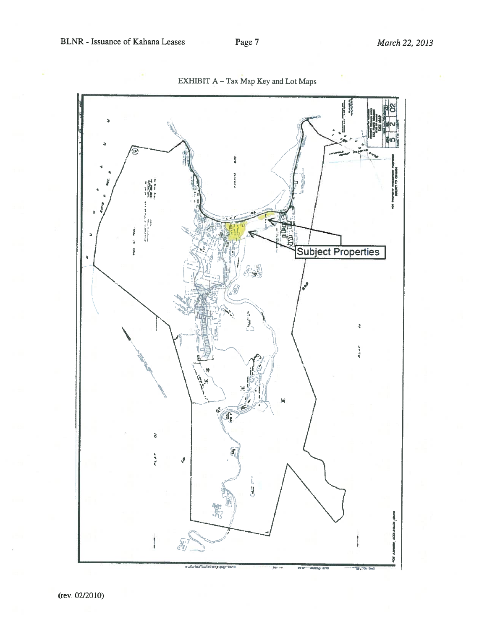

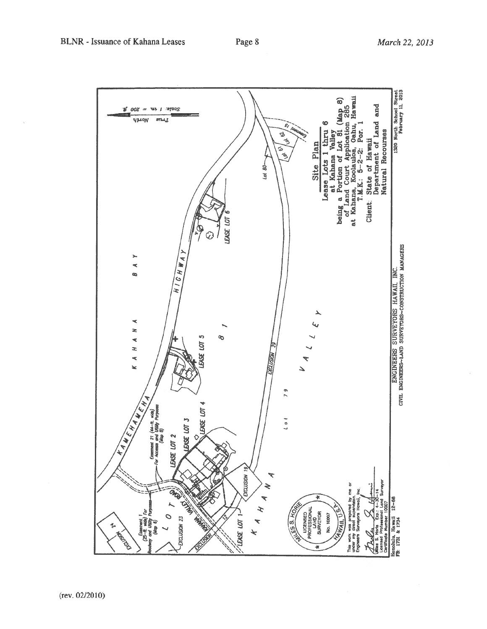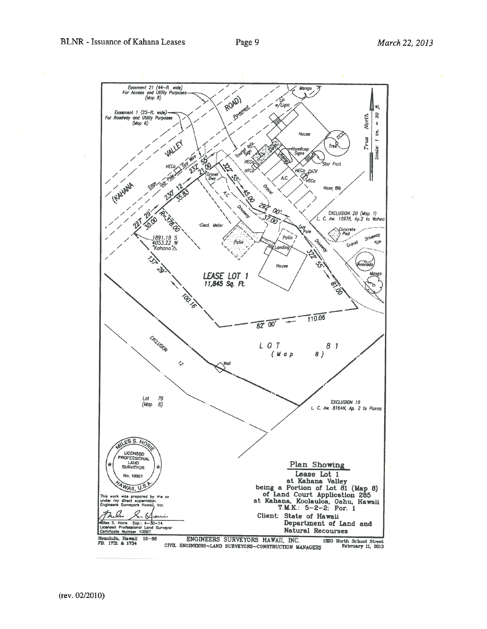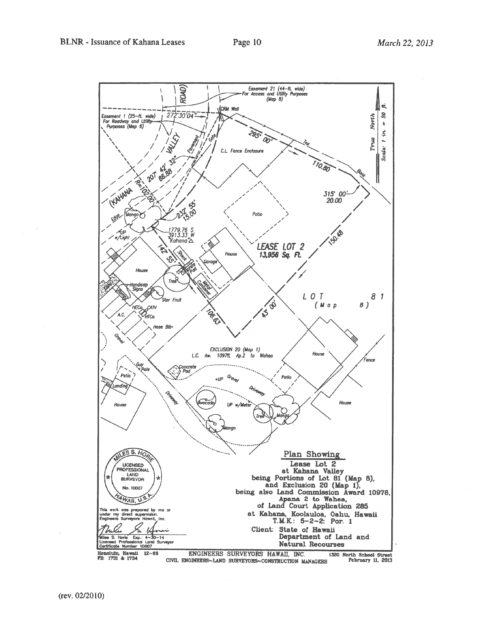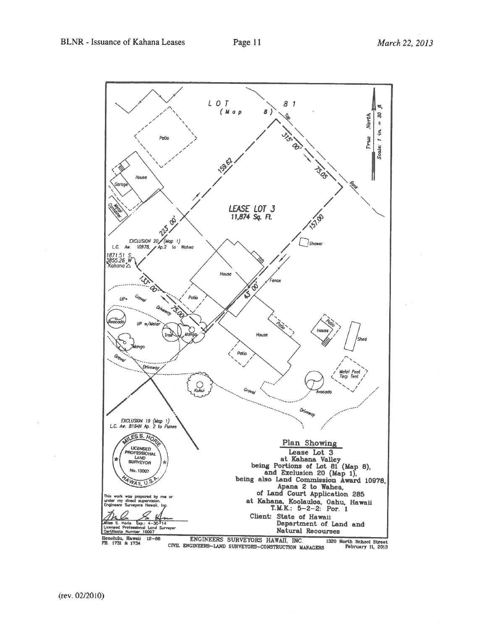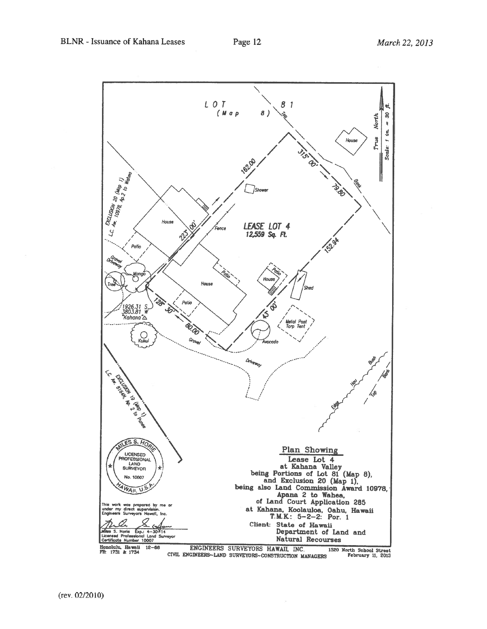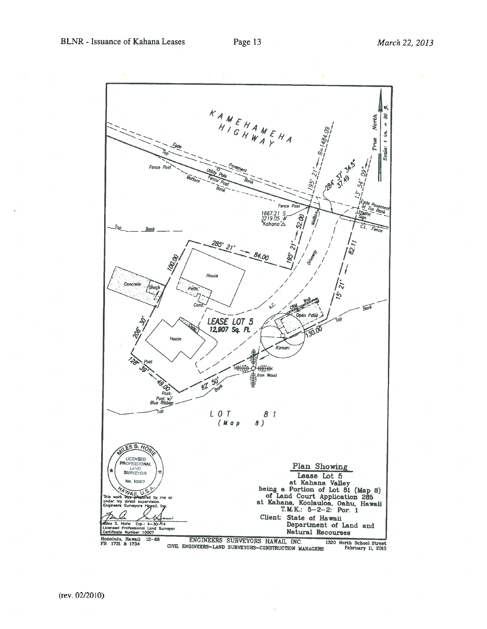

1320 North School February 11. 2013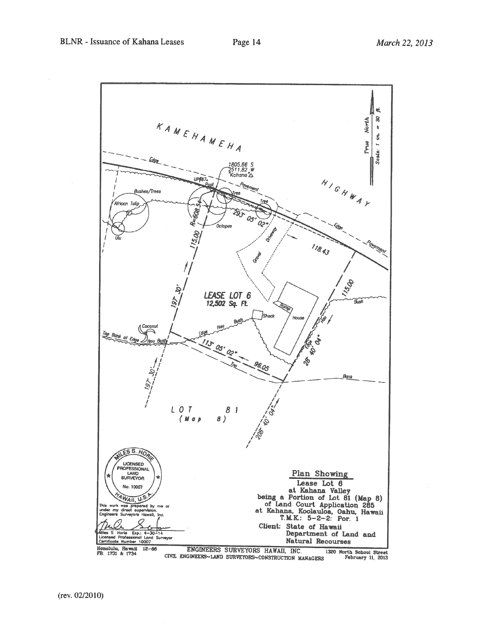

1320 North School Street<br>February 11, 2013 CIVIL ENGINEERS~LAND SURVEYORS~CONSTRUCTION MANAGERS